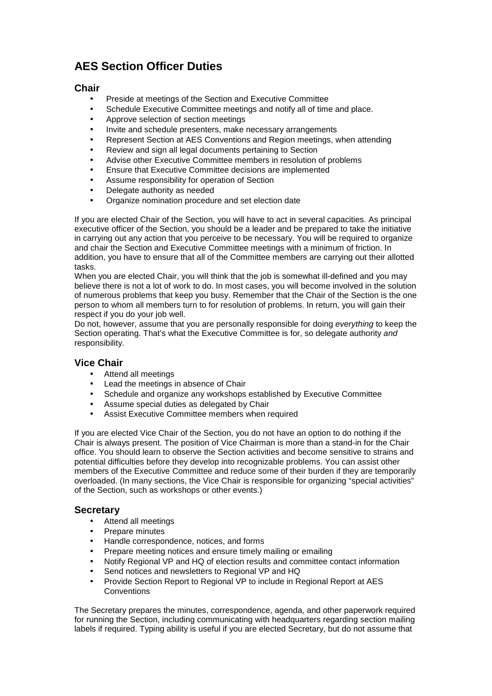# **AES Section Officer Duties**

## **Chair**

- Preside at meetings of the Section and Executive Committee
- Schedule Executive Committee meetings and notify all of time and place.
- Approve selection of section meetings
- Invite and schedule presenters, make necessary arrangements
- Represent Section at AES Conventions and Region meetings, when attending
- Review and sign all legal documents pertaining to Section
- Advise other Executive Committee members in resolution of problems
- Ensure that Executive Committee decisions are implemented
- Assume responsibility for operation of Section
- Delegate authority as needed
- Organize nomination procedure and set election date

If you are elected Chair of the Section, you will have to act in several capacities. As principal executive officer of the Section, you should be a leader and be prepared to take the initiative in carrying out any action that you perceive to be necessary. You will be required to organize and chair the Section and Executive Committee meetings with a minimum of friction. In addition, you have to ensure that all of the Committee members are carrying out their allotted tasks.

When you are elected Chair, you will think that the job is somewhat ill-defined and you may believe there is not a lot of work to do. In most cases, you will become involved in the solution of numerous problems that keep you busy. Remember that the Chair of the Section is the one person to whom all members turn to for resolution of problems. In return, you will gain their respect if you do your job well.

Do not, however, assume that you are personally responsible for doing everything to keep the Section operating. That's what the Executive Committee is for, so delegate authority and responsibility.

#### **Vice Chair**

- Attend all meetings
- Lead the meetings in absence of Chair
- Schedule and organize any workshops established by Executive Committee
- Assume special duties as delegated by Chair
- Assist Executive Committee members when required

If you are elected Vice Chair of the Section, you do not have an option to do nothing if the Chair is always present. The position of Vice Chairman is more than a stand-in for the Chair office. You should learn to observe the Section activities and become sensitive to strains and potential difficulties before they develop into recognizable problems. You can assist other members of the Executive Committee and reduce some of their burden if they are temporarily overloaded. (In many sections, the Vice Chair is responsible for organizing "special activities" of the Section, such as workshops or other events.)

#### **Secretary**

- Attend all meetings
- Prepare minutes
- Handle correspondence, notices, and forms
- Prepare meeting notices and ensure timely mailing or emailing
- Notify Regional VP and HQ of election results and committee contact information
- Send notices and newsletters to Regional VP and HQ
- Provide Section Report to Regional VP to include in Regional Report at AES **Conventions**

The Secretary prepares the minutes, correspondence, agenda, and other paperwork required for running the Section, including communicating with headquarters regarding section mailing labels if required. Typing ability is useful if you are elected Secretary, but do not assume that